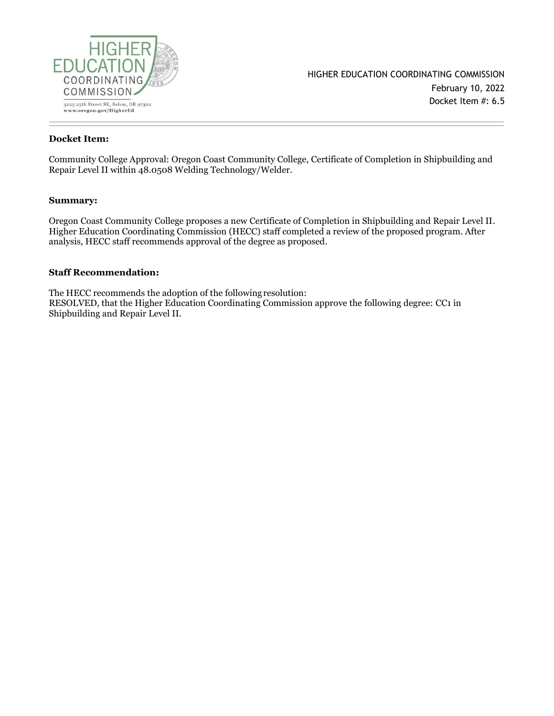

#### **Docket Item:**

Community College Approval: Oregon Coast Community College, Certificate of Completion in Shipbuilding and Repair Level II within 48.0508 Welding Technology/Welder.

#### **Summary:**

Oregon Coast Community College proposes a new Certificate of Completion in Shipbuilding and Repair Level II. Higher Education Coordinating Commission (HECC) staff completed a review of the proposed program. After analysis, HECC staff recommends approval of the degree as proposed.

#### **Staff Recommendation:**

The HECC recommends the adoption of the followingresolution: RESOLVED, that the Higher Education Coordinating Commission approve the following degree: CC1 in Shipbuilding and Repair Level II.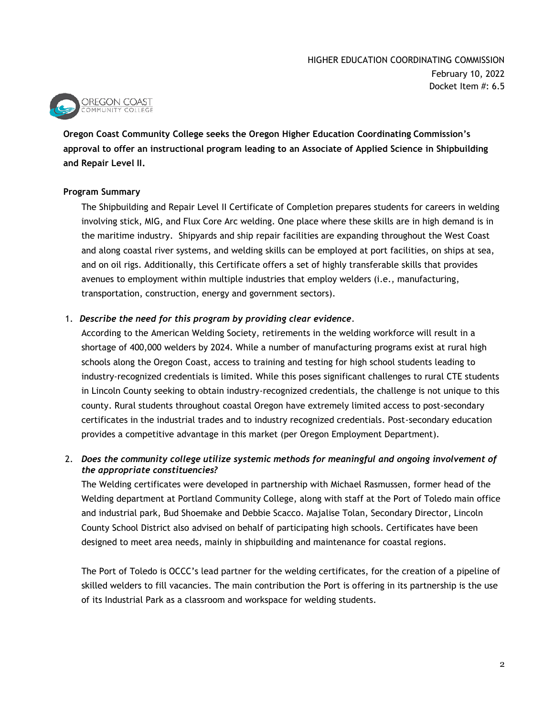

**Oregon Coast Community College seeks the Oregon Higher Education Coordinating Commission's approval to offer an instructional program leading to an Associate of Applied Science in Shipbuilding and Repair Level II.**

### **Program Summary**

The Shipbuilding and Repair Level II Certificate of Completion prepares students for careers in welding involving stick, MIG, and Flux Core Arc welding. One place where these skills are in high demand is in the maritime industry. Shipyards and ship repair facilities are expanding throughout the West Coast and along coastal river systems, and welding skills can be employed at port facilities, on ships at sea, and on oil rigs. Additionally, this Certificate offers a set of highly transferable skills that provides avenues to employment within multiple industries that employ welders (i.e., manufacturing, transportation, construction, energy and government sectors).

## 1. *Describe the need for this program by providing clear evidence.*

According to the American Welding Society, retirements in the welding workforce will result in a shortage of 400,000 welders by 2024. While a number of manufacturing programs exist at rural high schools along the Oregon Coast, access to training and testing for high school students leading to industry-recognized credentials is limited. While this poses significant challenges to rural CTE students in Lincoln County seeking to obtain industry-recognized credentials, the challenge is not unique to this county. Rural students throughout coastal Oregon have extremely limited access to post-secondary certificates in the industrial trades and to industry recognized credentials. Post-secondary education provides a competitive advantage in this market (per Oregon Employment Department).

## 2. *Does the community college utilize systemic methods for meaningful and ongoing involvement of the appropriate constituencies?*

The Welding certificates were developed in partnership with Michael Rasmussen, former head of the Welding department at Portland Community College, along with staff at the Port of Toledo main office and industrial park, Bud Shoemake and Debbie Scacco. Majalise Tolan, Secondary Director, Lincoln County School District also advised on behalf of participating high schools. Certificates have been designed to meet area needs, mainly in shipbuilding and maintenance for coastal regions.

The Port of Toledo is OCCC's lead partner for the welding certificates, for the creation of a pipeline of skilled welders to fill vacancies. The main contribution the Port is offering in its partnership is the use of its Industrial Park as a classroom and workspace for welding students.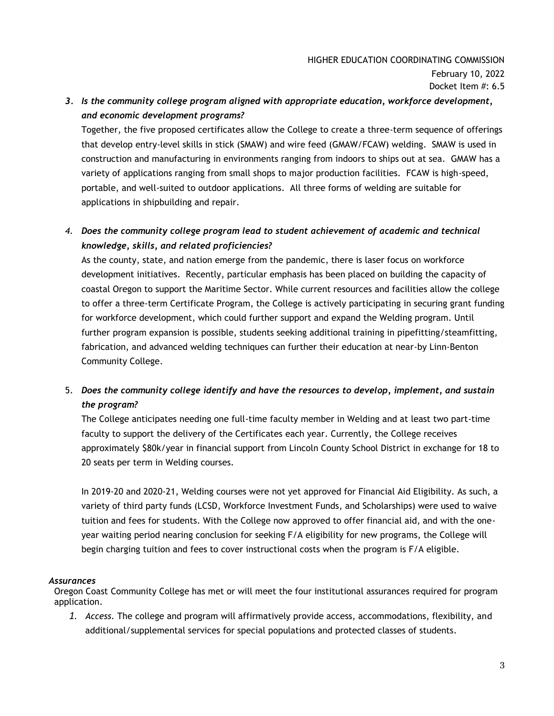# *3. Is the community college program aligned with appropriate education, workforce development, and economic development programs?*

Together, the five proposed certificates allow the College to create a three-term sequence of offerings that develop entry-level skills in stick (SMAW) and wire feed (GMAW/FCAW) welding. SMAW is used in construction and manufacturing in environments ranging from indoors to ships out at sea. GMAW has a variety of applications ranging from small shops to major production facilities. FCAW is high-speed, portable, and well-suited to outdoor applications. All three forms of welding are suitable for applications in shipbuilding and repair.

# *4. Does the community college program lead to student achievement of academic and technical knowledge, skills, and related proficiencies?*

As the county, state, and nation emerge from the pandemic, there is laser focus on workforce development initiatives. Recently, particular emphasis has been placed on building the capacity of coastal Oregon to support the Maritime Sector. While current resources and facilities allow the college to offer a three-term Certificate Program, the College is actively participating in securing grant funding for workforce development, which could further support and expand the Welding program. Until further program expansion is possible, students seeking additional training in pipefitting/steamfitting, fabrication, and advanced welding techniques can further their education at near-by Linn-Benton Community College.

# 5. *Does the community college identify and have the resources to develop, implement, and sustain the program?*

The College anticipates needing one full-time faculty member in Welding and at least two part-time faculty to support the delivery of the Certificates each year. Currently, the College receives approximately \$80k/year in financial support from Lincoln County School District in exchange for 18 to 20 seats per term in Welding courses.

In 2019-20 and 2020-21, Welding courses were not yet approved for Financial Aid Eligibility. As such, a variety of third party funds (LCSD, Workforce Investment Funds, and Scholarships) were used to waive tuition and fees for students. With the College now approved to offer financial aid, and with the oneyear waiting period nearing conclusion for seeking F/A eligibility for new programs, the College will begin charging tuition and fees to cover instructional costs when the program is F/A eligible.

### *Assurances*

Oregon Coast Community College has met or will meet the four institutional assurances required for program application.

*1. Access.* The college and program will affirmatively provide access, accommodations, flexibility, and additional/supplemental services for special populations and protected classes of students.